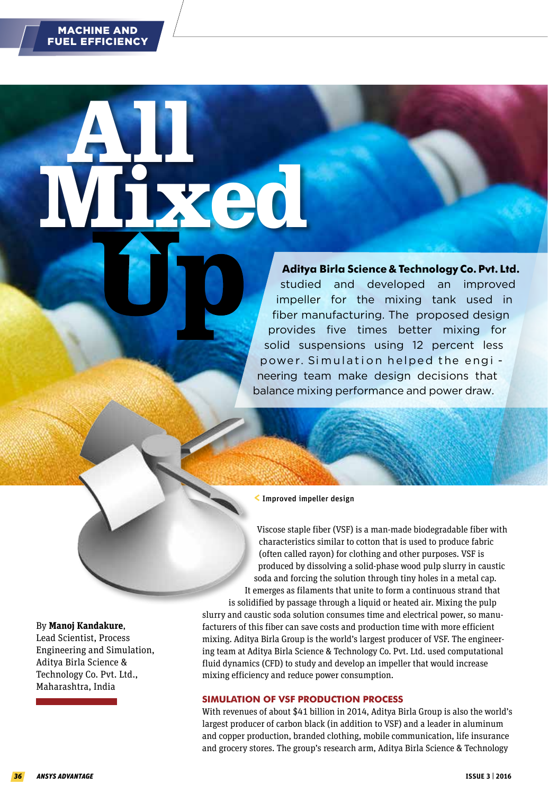**All** 

 **Aditya Birla Science & Technology Co. Pvt. Ltd.**<br>
studied and developed an improved<br>
impeller for the mixing tank used in<br>
fiber manufacturing. The proposed design<br>
provides five times better mixing for studied and developed an improved impeller for the mixing tank used in fiber manufacturing. The proposed design provides five times better mixing for solid suspensions using 12 percent less power. Simulation helped the engi neering team make design decisions that balance mixing performance and power draw.

## <Improved impeller design

**Mixed** 

Viscose staple fiber (VSF) is a man-made biodegradable fiber with characteristics similar to cotton that is used to produce fabric (often called rayon) for clothing and other purposes. VSF is produced by dissolving a solid-phase wood pulp slurry in caustic soda and forcing the solution through tiny holes in a metal cap. It emerges as filaments that unite to form a continuous strand that

is solidified by passage through a liquid or heated air. Mixing the pulp slurry and caustic soda solution consumes time and electrical power, so manufacturers of this fiber can save costs and production time with more efficient mixing. Aditya Birla Group is the world's largest producer of VSF. The engineering team at Aditya Birla Science & Technology Co. Pvt. Ltd. used computational fluid dynamics (CFD) to study and develop an impeller that would increase mixing efficiency and reduce power consumption.

# **SIMULATION OF VSF PRODUCTION PROCESS**

With revenues of about \$41 billion in 2014, Aditya Birla Group is also the world's largest producer of carbon black (in addition to VSF) and a leader in aluminum and copper production, branded clothing, mobile communication, life insurance and grocery stores. The group's research arm, Aditya Birla Science & Technology

#### By **Manoj Kandakure**,

Lead Scientist, Process Engineering and Simulation, Aditya Birla Science & Technology Co. Pvt. Ltd., Maharashtra, India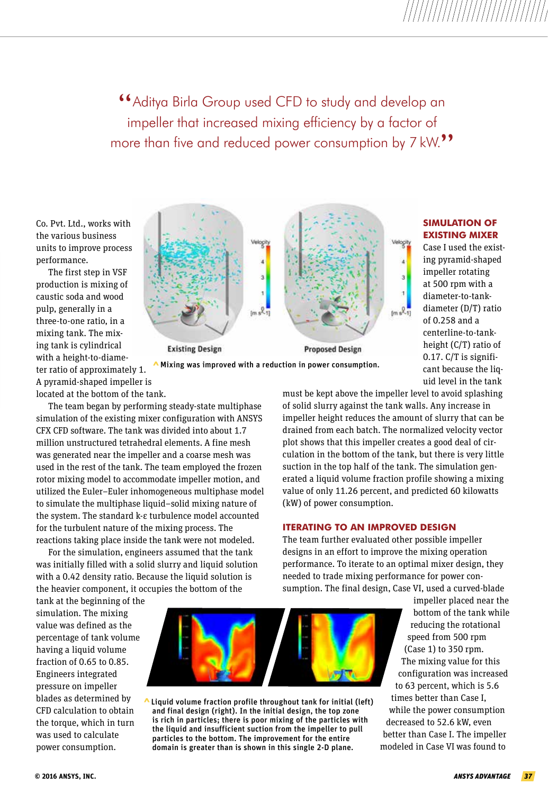"Aditya Birla Group used CFD to study and develop an impeller that increased mixing efficiency by a factor of more than five and reduced power consumption by 7 kW.<sup>99</sup>

Co. Pvt. Ltd., works with the various business units to improve process performance.

The first step in VSF production is mixing of caustic soda and wood pulp, generally in a three-to-one ratio, in a mixing tank. The mixing tank is cylindrical with a height-to-diameter ratio of approximately 1. A pyramid-shaped impeller is located at the bottom of the tank.



^Mixing was improved with a reduction in power consumption.

# **SIMULATION OF EXISTING MIXER**

Case I used the existing pyramid-shaped impeller rotating at 500 rpm with a diameter-to-tankdiameter (D/T) ratio of 0.258 and a centerline-to-tankheight (C/T) ratio of 0.17. C/T is significant because the liquid level in the tank

The team began by performing steady-state multiphase simulation of the existing mixer configuration with [ANSYS](http://www.ansys.com/products/Fluids/ANSYS-CFX)  [CFX CFD software. T](http://www.ansys.com/products/Fluids/ANSYS-CFX)he tank was divided into about 1.7 million unstructured tetrahedral elements. A fine mesh was generated near the impeller and a coarse mesh was used in the rest of the tank. The team employed the frozen rotor mixing model to accommodate impeller motion, and utilized the Euler–Euler inhomogeneous multiphase model to simulate the multiphase liquid–solid mixing nature of the system. The standard k-ε turbulence model accounted for the turbulent nature of the mixing process. The reactions taking place inside the tank were not modeled.

For the simulation, engineers assumed that the tank was initially filled with a solid slurry and liquid solution with a 0.42 density ratio. Because the liquid solution is the heavier component, it occupies the bottom of the

must be kept above the impeller level to avoid splashing of solid slurry against the tank walls. Any increase in impeller height reduces the amount of slurry that can be drained from each batch. The normalized velocity vector plot shows that this impeller creates a good deal of circulation in the bottom of the tank, but there is very little suction in the top half of the tank. The simulation generated a liquid volume fraction profile showing a mixing value of only 11.26 percent, and predicted 60 kilowatts (kW) of power consumption.

## **ITERATING TO AN IMPROVED DESIGN**

The team further evaluated other possible impeller designs in an effort to improve the mixing operation performance. To iterate to an optimal mixer design, they needed to trade mixing performance for power consumption. The final design, Case VI, used a curved-blade

tank at the beginning of the simulation. The mixing value was defined as the percentage of tank volume having a liquid volume fraction of 0.65 to 0.85. Engineers integrated pressure on impeller blades as determined by CFD calculation to obtain the torque, which in turn was used to calculate power consumption.



 $\triangle$  Liquid volume fraction profile throughout tank for initial (left) and final design (right). In the initial design, the top zone is rich in particles; there is poor mixing of the particles with the liquid and insufficient suction from the impeller to pull particles to the bottom. The improvement for the entire domain is greater than is shown in this single 2-D plane.

impeller placed near the bottom of the tank while reducing the rotational speed from 500 rpm (Case 1) to 350 rpm. The mixing value for this configuration was increased to 63 percent, which is 5.6 times better than Case I, while the power consumption decreased to 52.6 kW, even better than Case I. The impeller modeled in Case VI was found to